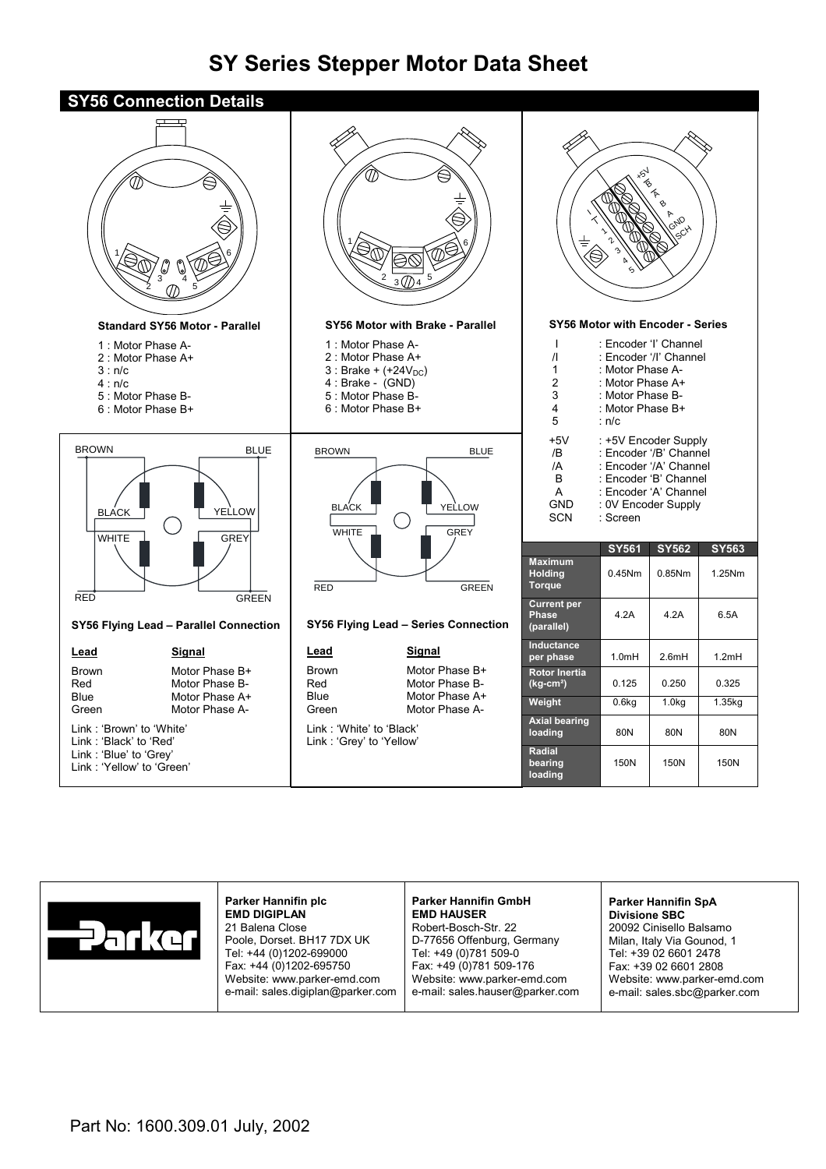# **SY Series Stepper Motor Data Sheet**





**Parker Hannifin plc EMD DIGIPLAN** 21 Balena Close Poole, Dorset. BH17 7DX UK Tel: +44 (0)1202-699000 Fax: +44 (0)1202-695750 Website: www.parker-emd.com e-mail: sales.digiplan@parker.com

#### **Parker Hannifin GmbH EMD HAUSER**

Robert-Bosch-Str. 22 D-77656 Offenburg, Germany Tel: +49 (0)781 509-0 Fax: +49 (0)781 509-176 Website: www.parker-emd.com e-mail: sales.hauser@parker.com

## **Parker Hannifin SpA**

**Divisione SBC** 20092 Cinisello Balsamo Milan, Italy Via Gounod, 1 Tel: +39 02 6601 2478 Fax: +39 02 6601 2808 Website: www.parker-emd.com e-mail: sales.sbc@parker.com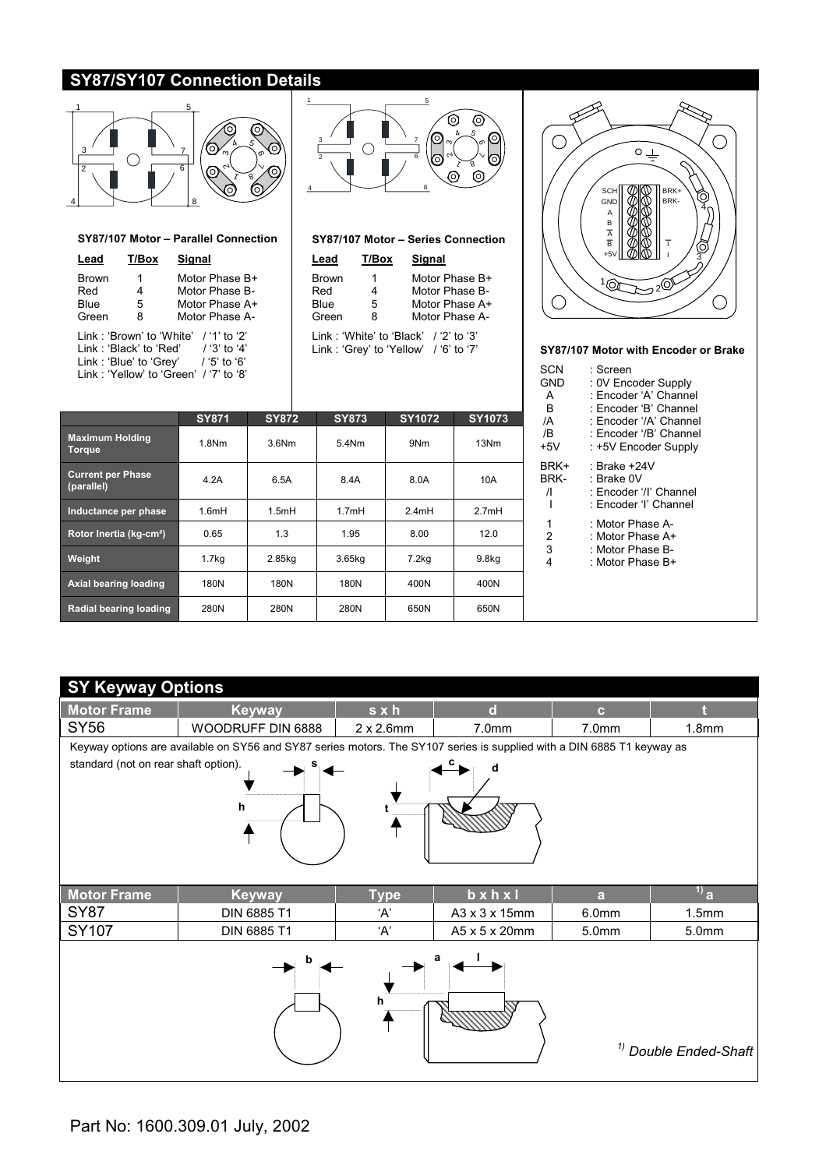## **SY87/SY107 Connection Details**



#### **SY87/107 Motor – Parallel Connection**

| Lead                                                                                                                                                                  | T/Box            | Sianal                                                               |  |  |  |  |
|-----------------------------------------------------------------------------------------------------------------------------------------------------------------------|------------------|----------------------------------------------------------------------|--|--|--|--|
| <b>Brown</b><br>Red<br>Blue<br>Green                                                                                                                                  | 1<br>4<br>5<br>8 | Motor Phase B+<br>Motor Phase B-<br>Motor Phase A+<br>Motor Phase A- |  |  |  |  |
| I ink:'Brown' to 'White' /'1' to '2'<br>$/ '3'$ to '4'<br>I ink:'Black' to 'Red'<br>$/$ '5' to '6'<br>Link: 'Blue' to 'Grey'<br>Link: 'Yellow' to 'Green' /'7' to '8' |                  |                                                                      |  |  |  |  |



#### **SY87/107 Motor – Series Connection**

| T/Box | Signal         |
|-------|----------------|
| 1     | Motor Phase B+ |
| 4     | Motor Phase B- |
| 5     | Motor Phase A+ |
| 8     | Motor Phase A- |
|       |                |

Link : 'White' to 'Black' / '2' to '3'<br>Link : 'Grey' to 'Yellow' / '6' to '7'

|                                         | <b>SY871</b>      | <b>SY872</b> | <b>SY873</b> | SY1072 | <b>SY1073</b>     |
|-----------------------------------------|-------------------|--------------|--------------|--------|-------------------|
| <b>Maximum Holding</b><br><b>Torque</b> | 1.8Nm             | $3.6$ Nm     | 5.4Nm        | 9Nm    | 13Nm              |
| <b>Current per Phase</b><br>(parallel)  | 4.2A              | 6.5A         | 8.4A         | 8.0A   | 10A               |
| Inductance per phase                    | 1.6mH             | 1.5mH        | 1.7mH        | 2.4mH  | 2.7mH             |
| Rotor Inertia (kg-cm <sup>2</sup> )     | 0.65              | 1.3          | 1.95         | 8.00   | 12.0              |
| Weight                                  | 1.7 <sub>kq</sub> | 2.85kg       | 3.65kg       | 7.2kg  | 9.8 <sub>kq</sub> |
| Axial bearing loading                   | 180N              | 180N         | 180N         | 400N   | 400N              |
| Radial bearing loading                  | 280N              | 280N         | 280N         | 650N   | 650N              |

#### $\bigcirc$  $\circ \perp$ sci BRK+ a<br>M O BRK-GND 4 A B A B +5V 3  $10<sub>T</sub>$  $\approx$ 2 $^\circ$  $\bigcirc$ ◯

#### SY87/107 Motor with Encoder or Brake

| SCN                       | : Screen                                                                      |
|---------------------------|-------------------------------------------------------------------------------|
| GND                       | : 0V Encoder Supply                                                           |
| А                         | : Encoder 'A' Channel                                                         |
| в                         | : Encoder 'B' Channel                                                         |
| /A                        | : Fncoder '/A' Channel                                                        |
| /B                        | : Encoder '/B' Channel                                                        |
| $+5V$                     | : +5V Encoder Supply                                                          |
| BRK+<br>BRK-<br>$\sqrt{}$ | : Brake +24V<br>: Brake OV<br>: Encoder '/l' Channel<br>: Encoder 'I' Channel |
| 1                         | : Motor Phase A-                                                              |
| 2                         | : Motor Phase A+                                                              |
| 3                         | : Motor Phase B-                                                              |
| 4                         | : Motor Phase B+                                                              |

## **SY Keyway Options**

| <b>ST Reyway Options</b>             |                                                                                                                        |                   |                       |                   |                                  |  |  |  |  |
|--------------------------------------|------------------------------------------------------------------------------------------------------------------------|-------------------|-----------------------|-------------------|----------------------------------|--|--|--|--|
| <b>Motor Frame</b>                   | <b>Keyway</b>                                                                                                          | sxh               | $\mathbf d$           | $\mathbf{c}$      |                                  |  |  |  |  |
| SY56                                 | WOODRUFF DIN 6888                                                                                                      | $2 \times 2.6$ mm | 7.0 <sub>mm</sub>     | 7.0mm             | 1.8 <sub>mm</sub>                |  |  |  |  |
|                                      | Keyway options are available on SY56 and SY87 series motors. The SY107 series is supplied with a DIN 6885 T1 keyway as |                   |                       |                   |                                  |  |  |  |  |
| standard (not on rear shaft option). | h                                                                                                                      |                   | d                     |                   |                                  |  |  |  |  |
| <b>Motor Frame</b>                   | <b>Keyway</b>                                                                                                          | <b>Type</b>       | $b \times h \times I$ | a                 | $^{1)}$ a                        |  |  |  |  |
| <b>SY87</b>                          | DIN 6885 T1                                                                                                            | 'Α'               | A3 x 3 x 15mm         | 6.0 <sub>mm</sub> | 1.5 <sub>mm</sub>                |  |  |  |  |
| <b>SY107</b>                         | DIN 6885 T1                                                                                                            | 'A'               | A5 x 5 x 20mm         | 5.0 <sub>mm</sub> | 5.0mm                            |  |  |  |  |
|                                      |                                                                                                                        | h                 | а                     |                   | <sup>1)</sup> Double Ended-Shaft |  |  |  |  |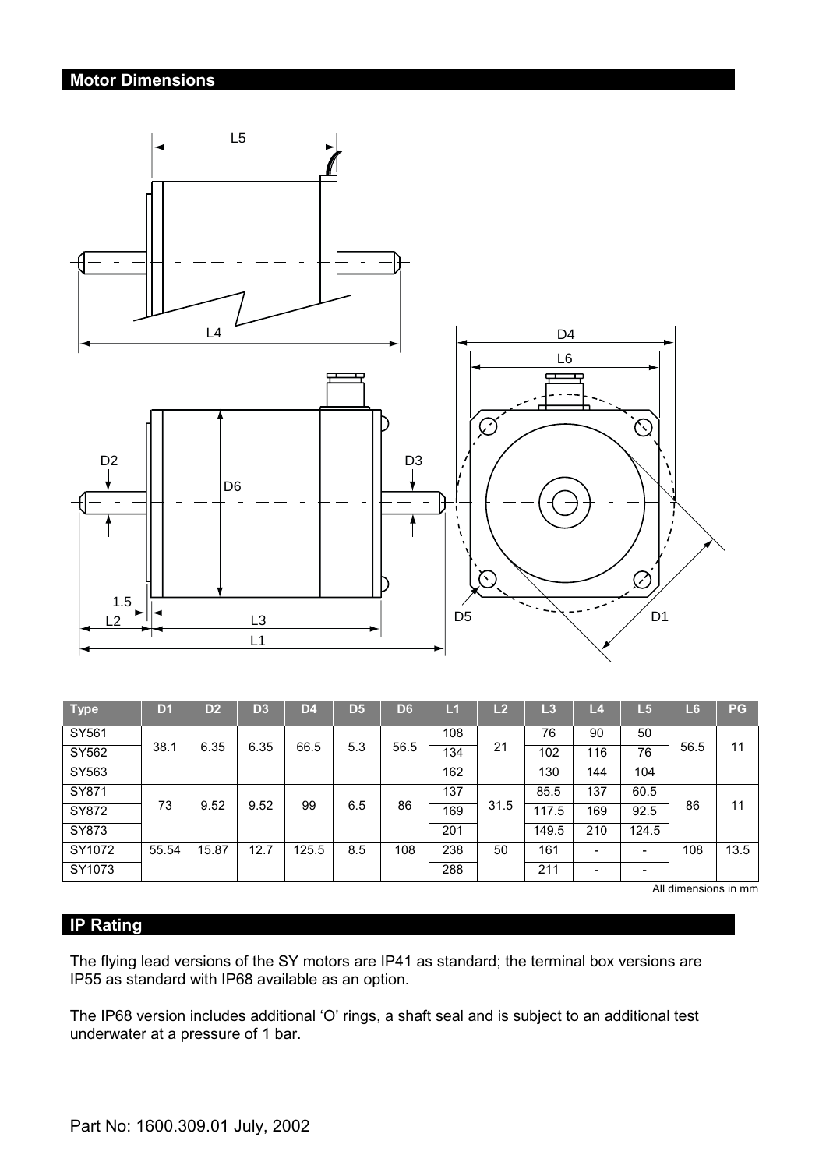# **Motor Dimensions**



| <b>Type</b> | D <sub>1</sub> | D <sub>2</sub> | D <sub>3</sub> | D4    | D <sub>5</sub> | D <sub>6</sub> | Lí  | L2   | L3    | $\overline{-4}$ | L5    | L6   | <b>PG</b> |
|-------------|----------------|----------------|----------------|-------|----------------|----------------|-----|------|-------|-----------------|-------|------|-----------|
| SY561       |                |                |                |       |                |                | 108 |      | 76    | 90              | 50    |      |           |
| SY562       | 38.1           | 6.35           | 6.35           | 66.5  | 5.3            | 56.5           | 134 | 21   | 102   | 116             | 76    | 56.5 | 11        |
| SY563       |                |                |                |       |                |                | 162 |      | 130   | 144             | 104   |      |           |
| SY871       |                |                |                |       |                |                | 137 |      | 85.5  | 137             | 60.5  |      |           |
| SY872       | 73             | 9.52           | 9.52           | 99    | 6.5            | 86             | 169 | 31.5 | 117.5 | 169             | 92.5  | 86   | 11        |
| SY873       |                |                |                |       |                |                | 201 |      | 149.5 | 210             | 124.5 |      |           |
| SY1072      | 55.54          | 15.87          | 12.7           | 125.5 | 8.5            | 108            | 238 | 50   | 161   | -               | -     | 108  | 13.5      |
| SY1073      |                |                |                |       |                |                | 288 |      | 211   |                 | -     |      |           |

All dimensions in mm

# **IP Rating**

The flying lead versions of the SY motors are IP41 as standard; the terminal box versions are IP55 as standard with IP68 available as an option.

The IP68 version includes additional 'O' rings, a shaft seal and is subject to an additional test underwater at a pressure of 1 bar.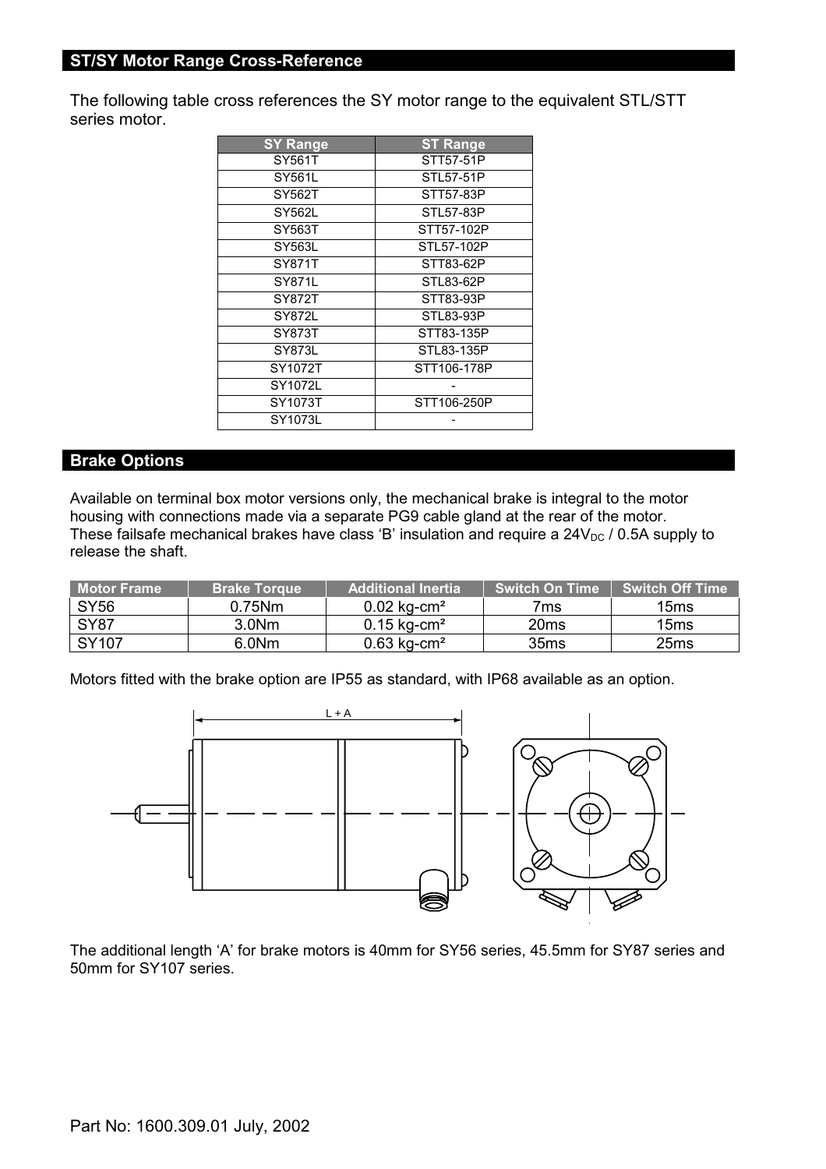The following table cross references the SY motor range to the equivalent STL/STT series motor.

| <b>SY Range</b> | <b>ST Range</b> |
|-----------------|-----------------|
| SY561T          | STT57-51P       |
| SY561L          | STL57-51P       |
| SY562T          | STT57-83P       |
| SY562L          | STL57-83P       |
| SY563T          | STT57-102P      |
| SY563L          | STL57-102P      |
| SY871T          | STT83-62P       |
| SY871L          | STL83-62P       |
| SY872T          | STT83-93P       |
| SY872L          | STL83-93P       |
| SY873T          | STT83-135P      |
| SY873L          | STL83-135P      |
| SY1072T         | STT106-178P     |
| SY1072L         |                 |
| SY1073T         | STT106-250P     |
| SY1073L         |                 |

### **Brake Options**

Available on terminal box motor versions only, the mechanical brake is integral to the motor housing with connections made via a separate PG9 cable gland at the rear of the motor. These failsafe mechanical brakes have class 'B' insulation and require a  $24V_{DC}$  / 0.5A supply to release the shaft.

| l Motor Frame | <b>Brake Torque</b> | Additional Inertia        | <b>Switch On Time</b> | Ⅰ Switch Off Time 』 |
|---------------|---------------------|---------------------------|-----------------------|---------------------|
| <b>SY56</b>   | $0.75$ Nm           | $0.02$ kg-cm <sup>2</sup> | 7ms                   | 15ms                |
| <b>SY87</b>   | 3.0 <sub>Nm</sub>   | 0.15 kg-cm <sup>2</sup>   | 20 <sub>ms</sub>      | 15ms                |
| SY107         | 6.0Nm               | $0.63$ kg-cm <sup>2</sup> | 35ms                  | 25 <sub>ms</sub>    |

Motors fitted with the brake option are IP55 as standard, with IP68 available as an option.



The additional length 'A' for brake motors is 40mm for SY56 series, 45.5mm for SY87 series and 50mm for SY107 series.